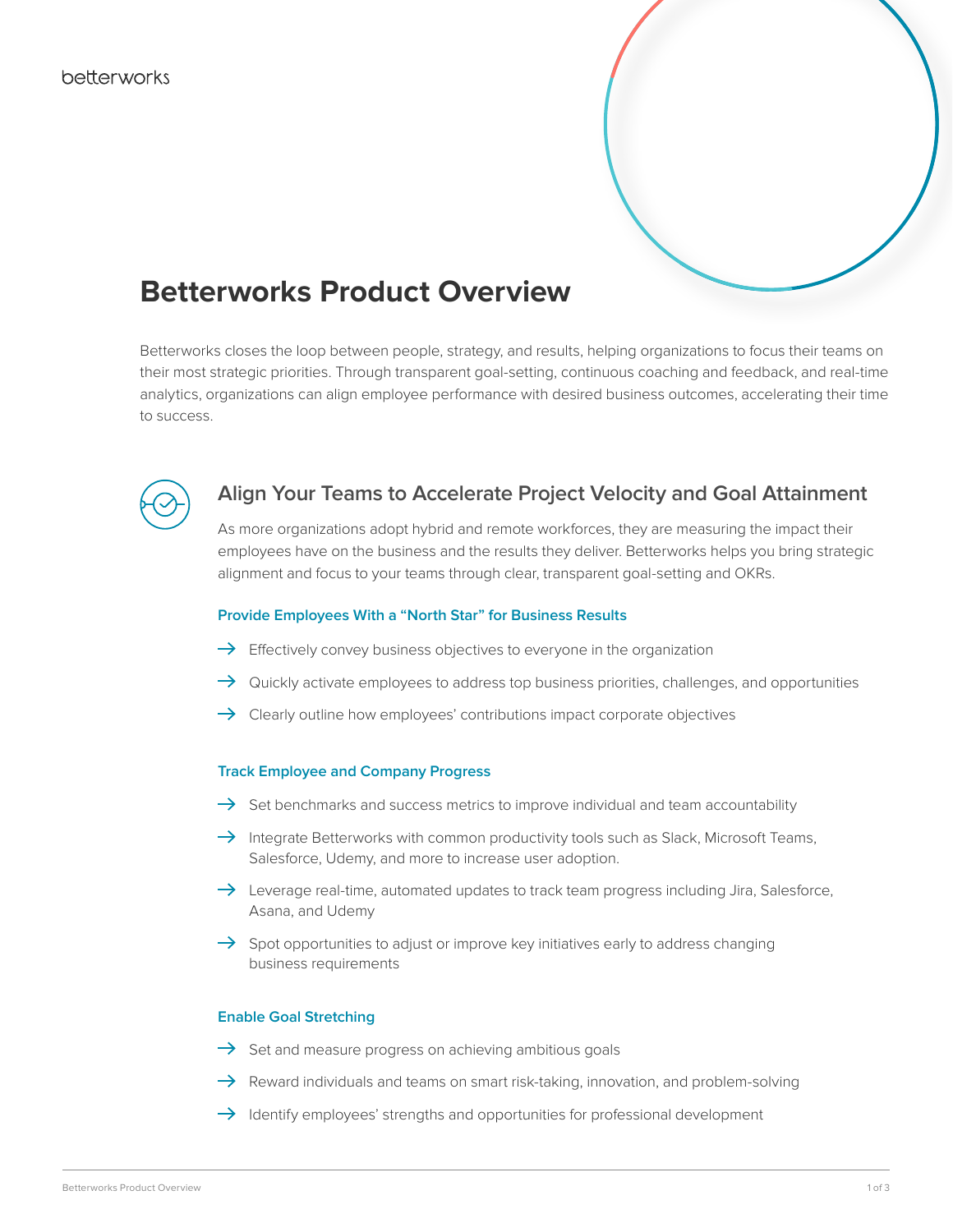

# **Betterworks Product Overview**

Betterworks closes the loop between people, strategy, and results, helping organizations to focus their teams on their most strategic priorities. Through transparent goal-setting, continuous coaching and feedback, and real-time analytics, organizations can align employee performance with desired business outcomes, accelerating their time to success.



## **Align Your Teams to Accelerate Project Velocity and Goal Attainment**

As more organizations adopt hybrid and remote workforces, they are measuring the impact their employees have on the business and the results they deliver. Betterworks helps you bring strategic alignment and focus to your teams through clear, transparent goal-setting and OKRs.

#### **Provide Employees With a "North Star" for Business Results**

- $\rightarrow$  Effectively convey business objectives to everyone in the organization
- $\rightarrow$  Quickly activate employees to address top business priorities, challenges, and opportunities
- $\rightarrow$  Clearly outline how employees' contributions impact corporate objectives

#### **Track Employee and Company Progress**

- $\rightarrow$  Set benchmarks and success metrics to improve individual and team accountability
- $\rightarrow$  Integrate Betterworks with common productivity tools such as Slack, Microsoft Teams, Salesforce, Udemy, and more to increase user adoption.
- $\rightarrow$  Leverage real-time, automated updates to track team progress including Jira, Salesforce, Asana, and Udemy
- $\rightarrow$  Spot opportunities to adjust or improve key initiatives early to address changing business requirements

#### **Enable Goal Stretching**

- $\rightarrow$  Set and measure progress on achieving ambitious goals
- $\rightarrow$  Reward individuals and teams on smart risk-taking, innovation, and problem-solving
- $\rightarrow$  Identify employees' strengths and opportunities for professional development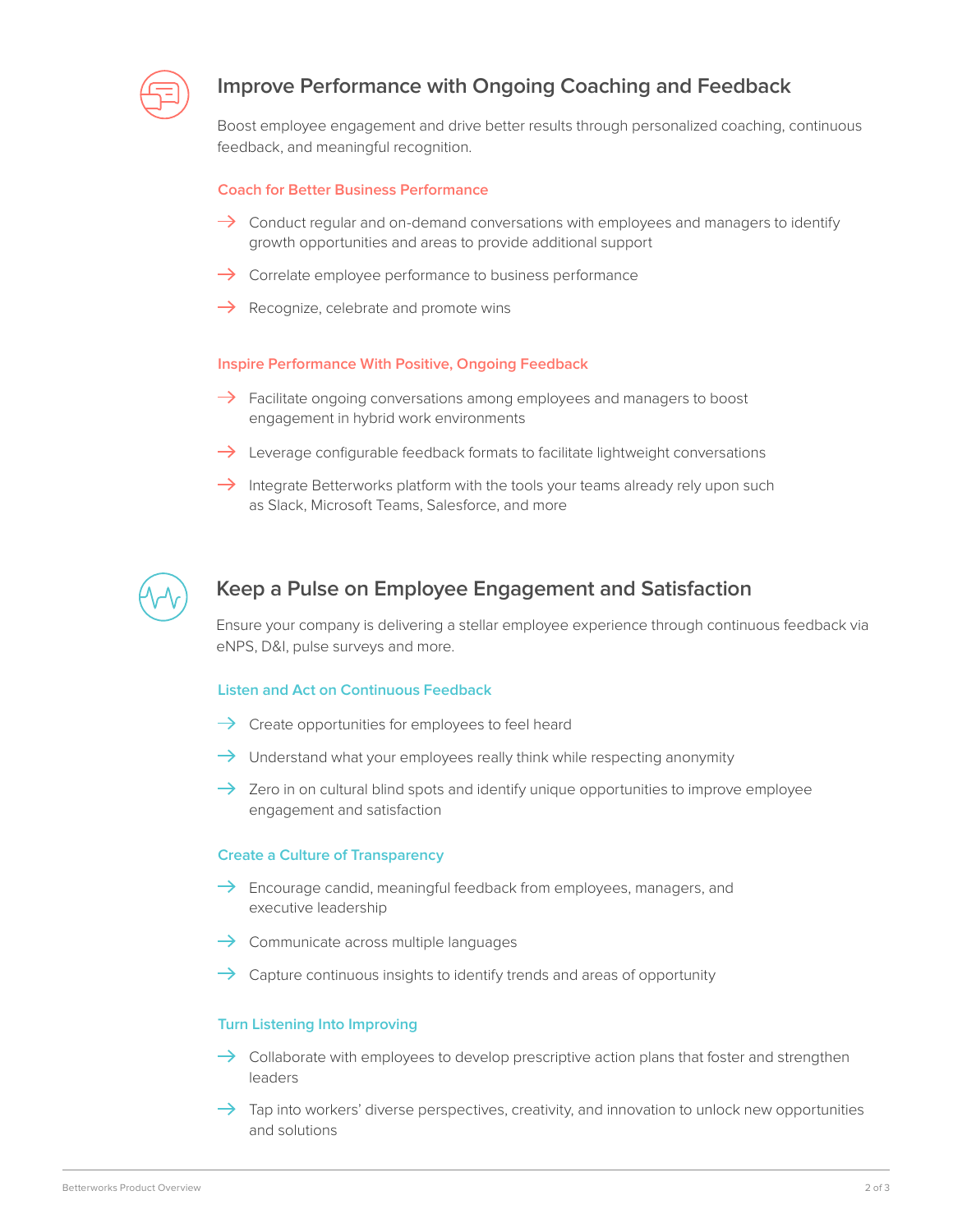

## **Improve Performance with Ongoing Coaching and Feedback**

Boost employee engagement and drive better results through personalized coaching, continuous feedback, and meaningful recognition.

#### **Coach for Better Business Performance**

- $\rightarrow$  Conduct regular and on-demand conversations with employees and managers to identify growth opportunities and areas to provide additional support
- $\rightarrow$  Correlate employee performance to business performance
- $\rightarrow$  Recognize, celebrate and promote wins

#### **Inspire Performance With Positive, Ongoing Feedback**

- $\rightarrow$  Facilitate ongoing conversations among employees and managers to boost engagement in hybrid work environments
- $\rightarrow$  Leverage configurable feedback formats to facilitate lightweight conversations
- $\rightarrow$  Integrate Betterworks platform with the tools your teams already rely upon such as Slack, Microsoft Teams, Salesforce, and more



## **Keep a Pulse on Employee Engagement and Satisfaction**

Ensure your company is delivering a stellar employee experience through continuous feedback via eNPS, D&I, pulse surveys and more.

#### **Listen and Act on Continuous Feedback**

- $\rightarrow$  Create opportunities for employees to feel heard
- $\rightarrow$  Understand what your employees really think while respecting anonymity
- $\rightarrow$  Zero in on cultural blind spots and identify unique opportunities to improve employee engagement and satisfaction

#### **Create a Culture of Transparency**

- $\rightarrow$  Encourage candid, meaningful feedback from employees, managers, and executive leadership
- $\rightarrow$  Communicate across multiple languages
- $\rightarrow$  Capture continuous insights to identify trends and areas of opportunity

#### **Turn Listening Into Improving**

- $\rightarrow$  Collaborate with employees to develop prescriptive action plans that foster and strengthen leaders
- $\rightarrow$  Tap into workers' diverse perspectives, creativity, and innovation to unlock new opportunities and solutions